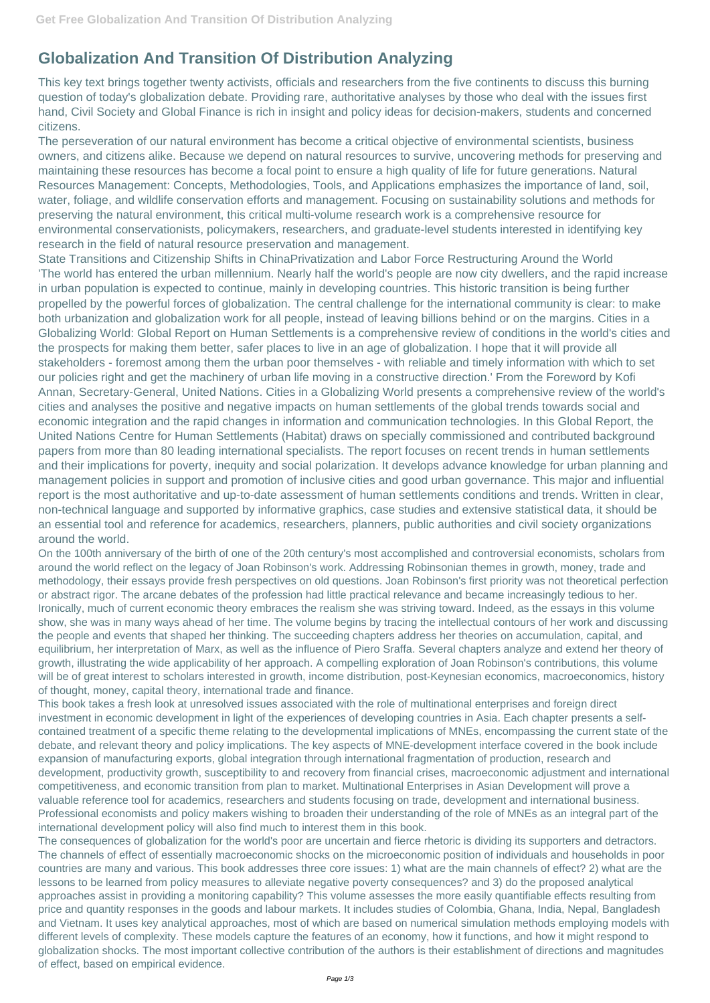## **Globalization And Transition Of Distribution Analyzing**

This key text brings together twenty activists, officials and researchers from the five continents to discuss this burning question of today's globalization debate. Providing rare, authoritative analyses by those who deal with the issues first hand, Civil Society and Global Finance is rich in insight and policy ideas for decision-makers, students and concerned citizens.

The perseveration of our natural environment has become a critical objective of environmental scientists, business owners, and citizens alike. Because we depend on natural resources to survive, uncovering methods for preserving and maintaining these resources has become a focal point to ensure a high quality of life for future generations. Natural Resources Management: Concepts, Methodologies, Tools, and Applications emphasizes the importance of land, soil, water, foliage, and wildlife conservation efforts and management. Focusing on sustainability solutions and methods for preserving the natural environment, this critical multi-volume research work is a comprehensive resource for environmental conservationists, policymakers, researchers, and graduate-level students interested in identifying key research in the field of natural resource preservation and management.

State Transitions and Citizenship Shifts in ChinaPrivatization and Labor Force Restructuring Around the World 'The world has entered the urban millennium. Nearly half the world's people are now city dwellers, and the rapid increase in urban population is expected to continue, mainly in developing countries. This historic transition is being further propelled by the powerful forces of globalization. The central challenge for the international community is clear: to make both urbanization and globalization work for all people, instead of leaving billions behind or on the margins. Cities in a Globalizing World: Global Report on Human Settlements is a comprehensive review of conditions in the world's cities and the prospects for making them better, safer places to live in an age of globalization. I hope that it will provide all stakeholders - foremost among them the urban poor themselves - with reliable and timely information with which to set our policies right and get the machinery of urban life moving in a constructive direction.' From the Foreword by Kofi Annan, Secretary-General, United Nations. Cities in a Globalizing World presents a comprehensive review of the world's cities and analyses the positive and negative impacts on human settlements of the global trends towards social and economic integration and the rapid changes in information and communication technologies. In this Global Report, the United Nations Centre for Human Settlements (Habitat) draws on specially commissioned and contributed background papers from more than 80 leading international specialists. The report focuses on recent trends in human settlements and their implications for poverty, inequity and social polarization. It develops advance knowledge for urban planning and management policies in support and promotion of inclusive cities and good urban governance. This major and influential report is the most authoritative and up-to-date assessment of human settlements conditions and trends. Written in clear, non-technical language and supported by informative graphics, case studies and extensive statistical data, it should be an essential tool and reference for academics, researchers, planners, public authorities and civil society organizations around the world.

On the 100th anniversary of the birth of one of the 20th century's most accomplished and controversial economists, scholars from around the world reflect on the legacy of Joan Robinson's work. Addressing Robinsonian themes in growth, money, trade and methodology, their essays provide fresh perspectives on old questions. Joan Robinson's first priority was not theoretical perfection or abstract rigor. The arcane debates of the profession had little practical relevance and became increasingly tedious to her. Ironically, much of current economic theory embraces the realism she was striving toward. Indeed, as the essays in this volume show, she was in many ways ahead of her time. The volume begins by tracing the intellectual contours of her work and discussing the people and events that shaped her thinking. The succeeding chapters address her theories on accumulation, capital, and equilibrium, her interpretation of Marx, as well as the influence of Piero Sraffa. Several chapters analyze and extend her theory of growth, illustrating the wide applicability of her approach. A compelling exploration of Joan Robinson's contributions, this volume will be of great interest to scholars interested in growth, income distribution, post-Keynesian economics, macroeconomics, history of thought, money, capital theory, international trade and finance.

This book takes a fresh look at unresolved issues associated with the role of multinational enterprises and foreign direct investment in economic development in light of the experiences of developing countries in Asia. Each chapter presents a selfcontained treatment of a specific theme relating to the developmental implications of MNEs, encompassing the current state of the debate, and relevant theory and policy implications. The key aspects of MNE-development interface covered in the book include expansion of manufacturing exports, global integration through international fragmentation of production, research and development, productivity growth, susceptibility to and recovery from financial crises, macroeconomic adjustment and international competitiveness, and economic transition from plan to market. Multinational Enterprises in Asian Development will prove a valuable reference tool for academics, researchers and students focusing on trade, development and international business. Professional economists and policy makers wishing to broaden their understanding of the role of MNEs as an integral part of the international development policy will also find much to interest them in this book. The consequences of globalization for the world's poor are uncertain and fierce rhetoric is dividing its supporters and detractors. The channels of effect of essentially macroeconomic shocks on the microeconomic position of individuals and households in poor countries are many and various. This book addresses three core issues: 1) what are the main channels of effect? 2) what are the lessons to be learned from policy measures to alleviate negative poverty consequences? and 3) do the proposed analytical approaches assist in providing a monitoring capability? This volume assesses the more easily quantifiable effects resulting from price and quantity responses in the goods and labour markets. It includes studies of Colombia, Ghana, India, Nepal, Bangladesh and Vietnam. It uses key analytical approaches, most of which are based on numerical simulation methods employing models with different levels of complexity. These models capture the features of an economy, how it functions, and how it might respond to globalization shocks. The most important collective contribution of the authors is their establishment of directions and magnitudes of effect, based on empirical evidence.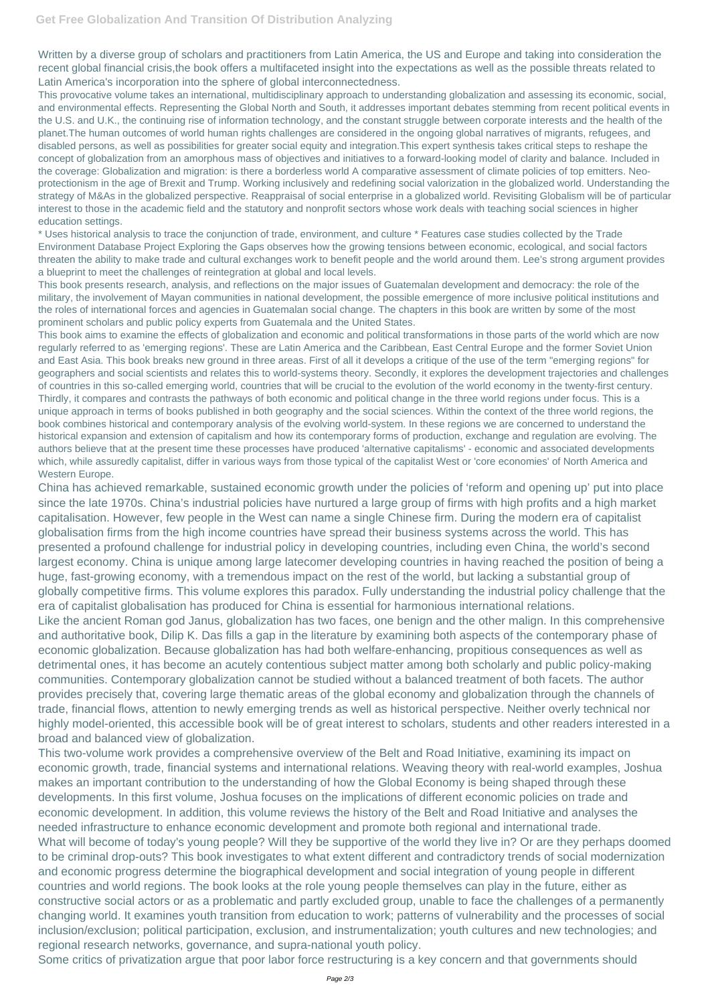Written by a diverse group of scholars and practitioners from Latin America, the US and Europe and taking into consideration the recent global financial crisis,the book offers a multifaceted insight into the expectations as well as the possible threats related to Latin America's incorporation into the sphere of global interconnectedness.

This provocative volume takes an international, multidisciplinary approach to understanding globalization and assessing its economic, social, and environmental effects. Representing the Global North and South, it addresses important debates stemming from recent political events in the U.S. and U.K., the continuing rise of information technology, and the constant struggle between corporate interests and the health of the planet.The human outcomes of world human rights challenges are considered in the ongoing global narratives of migrants, refugees, and disabled persons, as well as possibilities for greater social equity and integration.This expert synthesis takes critical steps to reshape the concept of globalization from an amorphous mass of objectives and initiatives to a forward-looking model of clarity and balance. Included in the coverage: Globalization and migration: is there a borderless world A comparative assessment of climate policies of top emitters. Neoprotectionism in the age of Brexit and Trump. Working inclusively and redefining social valorization in the globalized world. Understanding the strategy of M&As in the globalized perspective. Reappraisal of social enterprise in a globalized world. Revisiting Globalism will be of particular interest to those in the academic field and the statutory and nonprofit sectors whose work deals with teaching social sciences in higher education settings.

\* Uses historical analysis to trace the conjunction of trade, environment, and culture \* Features case studies collected by the Trade Environment Database Project Exploring the Gaps observes how the growing tensions between economic, ecological, and social factors threaten the ability to make trade and cultural exchanges work to benefit people and the world around them. Lee's strong argument provides a blueprint to meet the challenges of reintegration at global and local levels.

This book presents research, analysis, and reflections on the major issues of Guatemalan development and democracy: the role of the military, the involvement of Mayan communities in national development, the possible emergence of more inclusive political institutions and the roles of international forces and agencies in Guatemalan social change. The chapters in this book are written by some of the most prominent scholars and public policy experts from Guatemala and the United States.

This book aims to examine the effects of globalization and economic and political transformations in those parts of the world which are now regularly referred to as 'emerging regions'. These are Latin America and the Caribbean, East Central Europe and the former Soviet Union and East Asia. This book breaks new ground in three areas. First of all it develops a critique of the use of the term "emerging regions" for geographers and social scientists and relates this to world-systems theory. Secondly, it explores the development trajectories and challenges of countries in this so-called emerging world, countries that will be crucial to the evolution of the world economy in the twenty-first century. Thirdly, it compares and contrasts the pathways of both economic and political change in the three world regions under focus. This is a unique approach in terms of books published in both geography and the social sciences. Within the context of the three world regions, the book combines historical and contemporary analysis of the evolving world-system. In these regions we are concerned to understand the historical expansion and extension of capitalism and how its contemporary forms of production, exchange and regulation are evolving. The authors believe that at the present time these processes have produced 'alternative capitalisms' - economic and associated developments which, while assuredly capitalist, differ in various ways from those typical of the capitalist West or 'core economies' of North America and Western Europe.

China has achieved remarkable, sustained economic growth under the policies of 'reform and opening up' put into place since the late 1970s. China's industrial policies have nurtured a large group of firms with high profits and a high market capitalisation. However, few people in the West can name a single Chinese firm. During the modern era of capitalist globalisation firms from the high income countries have spread their business systems across the world. This has presented a profound challenge for industrial policy in developing countries, including even China, the world's second largest economy. China is unique among large latecomer developing countries in having reached the position of being a huge, fast-growing economy, with a tremendous impact on the rest of the world, but lacking a substantial group of globally competitive firms. This volume explores this paradox. Fully understanding the industrial policy challenge that the era of capitalist globalisation has produced for China is essential for harmonious international relations.

Like the ancient Roman god Janus, globalization has two faces, one benign and the other malign. In this comprehensive and authoritative book, Dilip K. Das fills a gap in the literature by examining both aspects of the contemporary phase of economic globalization. Because globalization has had both welfare-enhancing, propitious consequences as well as detrimental ones, it has become an acutely contentious subject matter among both scholarly and public policy-making communities. Contemporary globalization cannot be studied without a balanced treatment of both facets. The author provides precisely that, covering large thematic areas of the global economy and globalization through the channels of trade, financial flows, attention to newly emerging trends as well as historical perspective. Neither overly technical nor highly model-oriented, this accessible book will be of great interest to scholars, students and other readers interested in a broad and balanced view of globalization.

This two-volume work provides a comprehensive overview of the Belt and Road Initiative, examining its impact on

economic growth, trade, financial systems and international relations. Weaving theory with real-world examples, Joshua makes an important contribution to the understanding of how the Global Economy is being shaped through these developments. In this first volume, Joshua focuses on the implications of different economic policies on trade and economic development. In addition, this volume reviews the history of the Belt and Road Initiative and analyses the needed infrastructure to enhance economic development and promote both regional and international trade. What will become of today's young people? Will they be supportive of the world they live in? Or are they perhaps doomed to be criminal drop-outs? This book investigates to what extent different and contradictory trends of social modernization and economic progress determine the biographical development and social integration of young people in different countries and world regions. The book looks at the role young people themselves can play in the future, either as constructive social actors or as a problematic and partly excluded group, unable to face the challenges of a permanently changing world. It examines youth transition from education to work; patterns of vulnerability and the processes of social inclusion/exclusion; political participation, exclusion, and instrumentalization; youth cultures and new technologies; and regional research networks, governance, and supra-national youth policy. Some critics of privatization argue that poor labor force restructuring is a key concern and that governments should